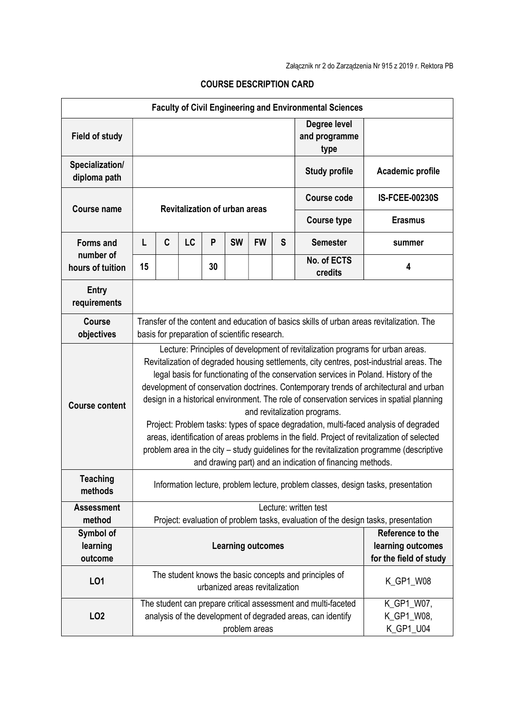| <b>Faculty of Civil Engineering and Environmental Sciences</b> |                                                                                                                                                                                                                                                                                                                                                                                                                                                                                                                                                                                                                                                                                                                                                                                                                                           |   |    |    |           |                                       |                                                                 |                                       |                       |
|----------------------------------------------------------------|-------------------------------------------------------------------------------------------------------------------------------------------------------------------------------------------------------------------------------------------------------------------------------------------------------------------------------------------------------------------------------------------------------------------------------------------------------------------------------------------------------------------------------------------------------------------------------------------------------------------------------------------------------------------------------------------------------------------------------------------------------------------------------------------------------------------------------------------|---|----|----|-----------|---------------------------------------|-----------------------------------------------------------------|---------------------------------------|-----------------------|
| <b>Field of study</b>                                          |                                                                                                                                                                                                                                                                                                                                                                                                                                                                                                                                                                                                                                                                                                                                                                                                                                           |   |    |    |           |                                       |                                                                 | Degree level<br>and programme<br>type |                       |
| Specialization/<br>diploma path                                |                                                                                                                                                                                                                                                                                                                                                                                                                                                                                                                                                                                                                                                                                                                                                                                                                                           |   |    |    |           |                                       |                                                                 | <b>Study profile</b>                  | Academic profile      |
| <b>Course name</b>                                             | <b>Revitalization of urban areas</b>                                                                                                                                                                                                                                                                                                                                                                                                                                                                                                                                                                                                                                                                                                                                                                                                      |   |    |    |           |                                       |                                                                 | <b>Course code</b>                    | <b>IS-FCEE-00230S</b> |
|                                                                |                                                                                                                                                                                                                                                                                                                                                                                                                                                                                                                                                                                                                                                                                                                                                                                                                                           |   |    |    |           |                                       |                                                                 | <b>Course type</b>                    | <b>Erasmus</b>        |
| <b>Forms and</b>                                               | L                                                                                                                                                                                                                                                                                                                                                                                                                                                                                                                                                                                                                                                                                                                                                                                                                                         | C | LC | P  | <b>SW</b> | <b>FW</b>                             | S                                                               | <b>Semester</b>                       | summer                |
| number of<br>hours of tuition                                  | 15                                                                                                                                                                                                                                                                                                                                                                                                                                                                                                                                                                                                                                                                                                                                                                                                                                        |   |    | 30 |           |                                       |                                                                 | No. of ECTS<br>credits                | 4                     |
| <b>Entry</b><br>requirements                                   |                                                                                                                                                                                                                                                                                                                                                                                                                                                                                                                                                                                                                                                                                                                                                                                                                                           |   |    |    |           |                                       |                                                                 |                                       |                       |
| <b>Course</b><br>objectives                                    | Transfer of the content and education of basics skills of urban areas revitalization. The<br>basis for preparation of scientific research.                                                                                                                                                                                                                                                                                                                                                                                                                                                                                                                                                                                                                                                                                                |   |    |    |           |                                       |                                                                 |                                       |                       |
| <b>Course content</b>                                          | Lecture: Principles of development of revitalization programs for urban areas.<br>Revitalization of degraded housing settlements, city centres, post-industrial areas. The<br>legal basis for functionating of the conservation services in Poland. History of the<br>development of conservation doctrines. Contemporary trends of architectural and urban<br>design in a historical environment. The role of conservation services in spatial planning<br>and revitalization programs.<br>Project: Problem tasks: types of space degradation, multi-faced analysis of degraded<br>areas, identification of areas problems in the field. Project of revitalization of selected<br>problem area in the city - study guidelines for the revitalization programme (descriptive<br>and drawing part) and an indication of financing methods. |   |    |    |           |                                       |                                                                 |                                       |                       |
| <b>Teaching</b><br>methods                                     | Information lecture, problem lecture, problem classes, design tasks, presentation                                                                                                                                                                                                                                                                                                                                                                                                                                                                                                                                                                                                                                                                                                                                                         |   |    |    |           |                                       |                                                                 |                                       |                       |
| <b>Assessment</b><br>method                                    | Lecture: written test<br>Project: evaluation of problem tasks, evaluation of the design tasks, presentation                                                                                                                                                                                                                                                                                                                                                                                                                                                                                                                                                                                                                                                                                                                               |   |    |    |           |                                       |                                                                 |                                       |                       |
| Symbol of<br>learning<br>outcome                               | <b>Learning outcomes</b>                                                                                                                                                                                                                                                                                                                                                                                                                                                                                                                                                                                                                                                                                                                                                                                                                  |   |    |    |           |                                       | Reference to the<br>learning outcomes<br>for the field of study |                                       |                       |
| LO1                                                            | The student knows the basic concepts and principles of<br>urbanized areas revitalization                                                                                                                                                                                                                                                                                                                                                                                                                                                                                                                                                                                                                                                                                                                                                  |   |    |    |           | K_GP1_W08                             |                                                                 |                                       |                       |
| LO <sub>2</sub>                                                | The student can prepare critical assessment and multi-faceted<br>analysis of the development of degraded areas, can identify<br>problem areas                                                                                                                                                                                                                                                                                                                                                                                                                                                                                                                                                                                                                                                                                             |   |    |    |           | K_GP1_W07,<br>K_GP1_W08,<br>K_GP1_U04 |                                                                 |                                       |                       |

## COURSE DESCRIPTION CARD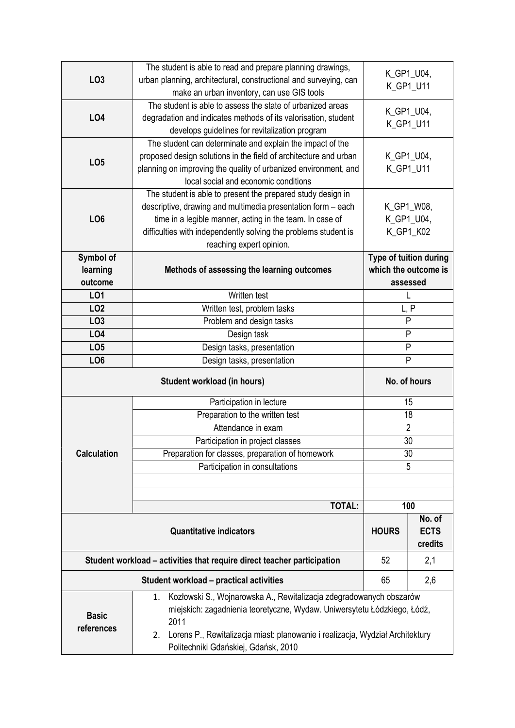| LO <sub>3</sub>    | The student is able to read and prepare planning drawings,                          |                        |             |  |
|--------------------|-------------------------------------------------------------------------------------|------------------------|-------------|--|
|                    | urban planning, architectural, constructional and surveying, can                    | K_GP1_U04,             |             |  |
|                    | make an urban inventory, can use GIS tools                                          | K_GP1_U11              |             |  |
|                    | The student is able to assess the state of urbanized areas                          |                        |             |  |
| <b>LO4</b>         | degradation and indicates methods of its valorisation, student                      | K_GP1_U04,             |             |  |
|                    | develops guidelines for revitalization program                                      | K_GP1_U11              |             |  |
|                    | The student can determinate and explain the impact of the                           |                        |             |  |
| LO <sub>5</sub>    | proposed design solutions in the field of architecture and urban                    | K_GP1_U04,             |             |  |
|                    | planning on improving the quality of urbanized environment, and                     | K_GP1_U11              |             |  |
|                    | local social and economic conditions                                                |                        |             |  |
|                    | The student is able to present the prepared study design in                         |                        |             |  |
|                    | descriptive, drawing and multimedia presentation form - each                        | K_GP1_W08,             |             |  |
| LO <sub>6</sub>    | time in a legible manner, acting in the team. In case of                            | K_GP1_U04,             |             |  |
|                    | difficulties with independently solving the problems student is                     | K_GP1_K02              |             |  |
|                    | reaching expert opinion.                                                            |                        |             |  |
| Symbol of          |                                                                                     | Type of tuition during |             |  |
| learning           | Methods of assessing the learning outcomes                                          | which the outcome is   |             |  |
| outcome            |                                                                                     | assessed               |             |  |
| L01                | Written test                                                                        |                        |             |  |
| LO <sub>2</sub>    | Written test, problem tasks                                                         | L, P                   |             |  |
| LO <sub>3</sub>    | Problem and design tasks                                                            | $\mathsf{P}$           |             |  |
| <b>LO4</b>         | Design task                                                                         | P                      |             |  |
| LO <sub>5</sub>    | Design tasks, presentation                                                          | P                      |             |  |
|                    |                                                                                     | P                      |             |  |
|                    | LO <sub>6</sub><br>Design tasks, presentation                                       |                        |             |  |
|                    |                                                                                     |                        |             |  |
|                    | <b>Student workload (in hours)</b>                                                  | No. of hours           |             |  |
|                    | Participation in lecture                                                            | 15                     |             |  |
|                    | Preparation to the written test                                                     | 18                     |             |  |
|                    | Attendance in exam                                                                  | $\overline{2}$         |             |  |
|                    | Participation in project classes                                                    | 30                     |             |  |
| <b>Calculation</b> | Preparation for classes, preparation of homework                                    | 30                     |             |  |
|                    | Participation in consultations                                                      | 5                      |             |  |
|                    |                                                                                     |                        |             |  |
|                    |                                                                                     |                        |             |  |
|                    | <b>TOTAL:</b>                                                                       | 100                    |             |  |
|                    |                                                                                     |                        | No. of      |  |
|                    | <b>Quantitative indicators</b>                                                      | <b>HOURS</b>           | <b>ECTS</b> |  |
|                    |                                                                                     |                        | credits     |  |
|                    | Student workload – activities that require direct teacher participation             | 52                     | 2,1         |  |
|                    | <b>Student workload - practical activities</b>                                      | 65                     | 2,6         |  |
|                    | Kozłowski S., Wojnarowska A., Rewitalizacja zdegradowanych obszarów<br>1.           |                        |             |  |
|                    | miejskich: zagadnienia teoretyczne, Wydaw. Uniwersytetu Łódzkiego, Łódź,            |                        |             |  |
| <b>Basic</b>       | 2011                                                                                |                        |             |  |
| references         | Lorens P., Rewitalizacja miast: planowanie i realizacja, Wydział Architektury<br>2. |                        |             |  |